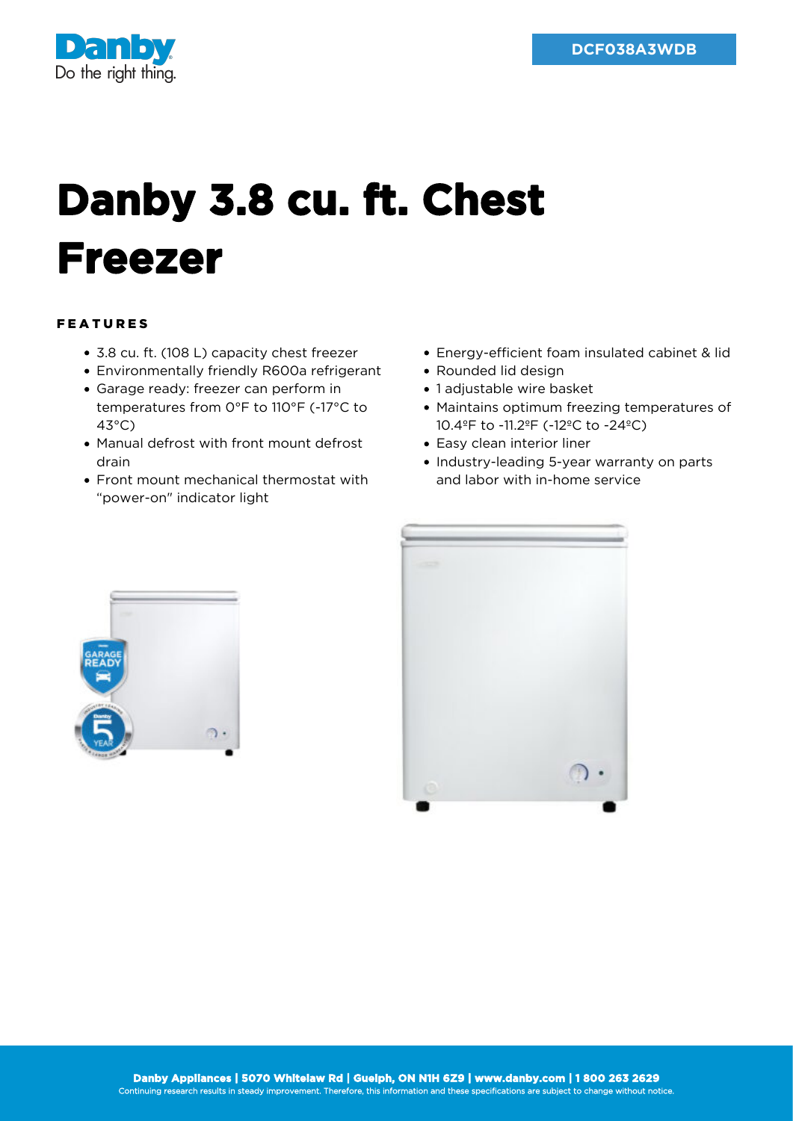

## **Danby 3.8 cu. ft. Chest Freezer**

## FEATURES

- 3.8 cu. ft. (108 L) capacity chest freezer
- Environmentally friendly R600a refrigerant
- Garage ready: freezer can perform in temperatures from 0°F to 110°F (-17°C to 43°C)
- Manual defrost with front mount defrost drain
- Front mount mechanical thermostat with "power-on" indicator light
- Energy-efficient foam insulated cabinet & lid
- Rounded lid design
- 1 adjustable wire basket
- Maintains optimum freezing temperatures of 10.4ºF to -11.2ºF (-12ºC to -24ºC)
- Easy clean interior liner
- Industry-leading 5-year warranty on parts and labor with in-home service